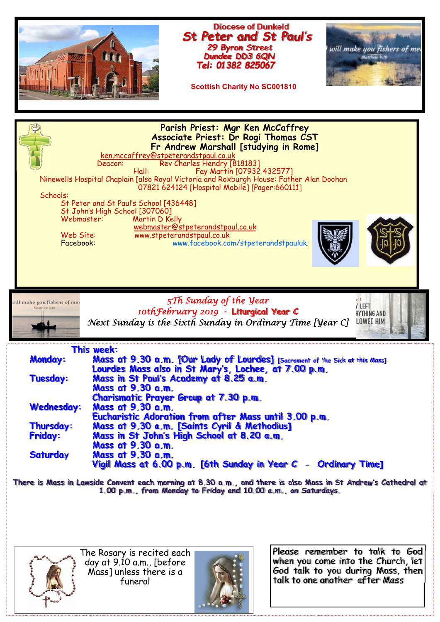

**There is Mass in Lawside Convent each morning at 8.30 a.m., and there is also Mass in St Andrew's Cathedral at 1.00 p.m., from Monday to Friday and 10.00 a.m., on Saturdays.** 



The Rosary is recited each day at 9.10 a.m., [before Mass] unless there is a funeral



Please remember to talk to God when you come into the Church, let God talk to you during Mass, then talk to one another after Mass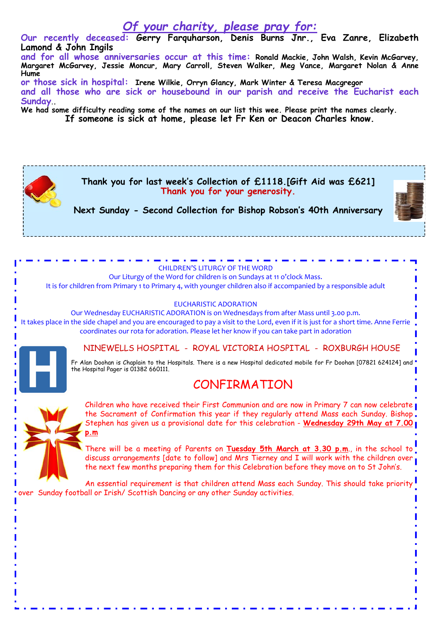## *Of your charity, please pray for:*

**Our recently deceased: Gerry Farquharson, Denis Burns Jnr., Eva Zanre, Elizabeth Lamond & John Ingils** 

**and for all whose anniversaries occur at this time: Ronald Mackie, John Walsh, Kevin McGarvey, Margaret McGarvey, Jessie Moncur, Mary Carroll, Steven Walker, Meg Vance, Margaret Nolan & Anne Hume** 

**or those sick in hospital: Irene Wilkie, Orryn Glancy, Mark Winter & Teresa Macgregor and all those who are sick or housebound in our parish and receive the Eucharist each Sunday**.**.** 

**We had some difficulty reading some of the names on our list this wee. Please print the names clearly.** 

**If someone is sick at home, please let Fr Ken or Deacon Charles know.** 



CHILDREN'S LITURGY OF THE WORD Our Liturgy of the Word for children is on Sundays at 11 o'clock Mass. It is for children from Primary 1 to Primary 4, with younger children also if accompanied by a responsible adult

EUCHARISTIC ADORATION Our Wednesday EUCHARISTIC ADORATION is on Wednesdays from after Mass until 3.00 p.m. It takes place in the side chapel and you are encouraged to pay a visit to the Lord, even if it is just for a short time. Anne Ferrie coordinates our rota for adoration. Please let her know if you can take part in adoration

NINEWELLS HOSPITAL - ROYAL VICTORIA HOSPITAL - ROXBURGH HOUSE

Fr Alan Doohan is Chaplain to the Hospitals. There is a new Hospital dedicated mobile for Fr Doohan [07821 624124] and ' the Hospital Pager is 01382 660111.

## CONFIRMATION



Children who have received their First Communion and are now in Primary 7 can now celebrate the Sacrament of Confirmation this year if they regularly attend Mass each Sunday. Bishop. Stephen has given us a provisional date for this celebration - **Wednesday 29th May at 7.00 p.m**

There will be a meeting of Parents on **Tuesday 5th March at 3.30 p.m**., in the school to discuss arrangements [date to follow] and Mrs Tierney and I will work with the children over, the next few months preparing them for this Celebration before they move on to St John's.

An essential requirement is that children attend Mass each Sunday. This should take priority over Sunday football or Irish/ Scottish Dancing or any other Sunday activities.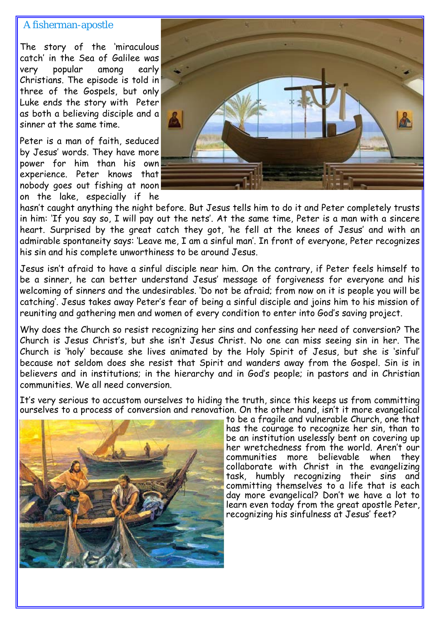## A fisherman-apostle

The story of the 'miraculous catch' in the Sea of Galilee was very popular among early Christians. The episode is told in three of the Gospels, but only Luke ends the story with Peter as both a believing disciple and a sinner at the same time.

Peter is a man of faith, seduced by Jesus' words. They have more power for him than his own experience. Peter knows that nobody goes out fishing at noon on the lake, especially if he



hasn't caught anything the night before. But Jesus tells him to do it and Peter completely trusts in him: 'If you say so, I will pay out the nets'. At the same time, Peter is a man with a sincere heart. Surprised by the great catch they got, 'he fell at the knees of Jesus' and with an admirable spontaneity says: 'Leave me, I am a sinful man'. In front of everyone, Peter recognizes his sin and his complete unworthiness to be around Jesus.

Jesus isn't afraid to have a sinful disciple near him. On the contrary, if Peter feels himself to be a sinner, he can better understand Jesus' message of forgiveness for everyone and his welcoming of sinners and the undesirables. 'Do not be afraid; from now on it is people you will be catching'. Jesus takes away Peter's fear of being a sinful disciple and joins him to his mission of reuniting and gathering men and women of every condition to enter into God's saving project.

Why does the Church so resist recognizing her sins and confessing her need of conversion? The Church is Jesus Christ's, but she isn't Jesus Christ. No one can miss seeing sin in her. The Church is 'holy' because she lives animated by the Holy Spirit of Jesus, but she is 'sinful' because not seldom does she resist that Spirit and wanders away from the Gospel. Sin is in believers and in institutions; in the hierarchy and in God's people; in pastors and in Christian communities. We all need conversion.

It's very serious to accustom ourselves to hiding the truth, since this keeps us from committing ourselves to a process of conversion and renovation. On the other hand, isn't it more evangelical



to be a fragile and vulnerable Church, one that has the courage to recognize her sin, than to be an institution uselessly bent on covering up her wretchedness from the world. Aren't our communities more believable when they collaborate with Christ in the evangelizing task, humbly recognizing their sins and committing themselves to a life that is each day more evangelical? Don't we have a lot to learn even today from the great apostle Peter, recognizing his sinfulness at Jesus' feet?